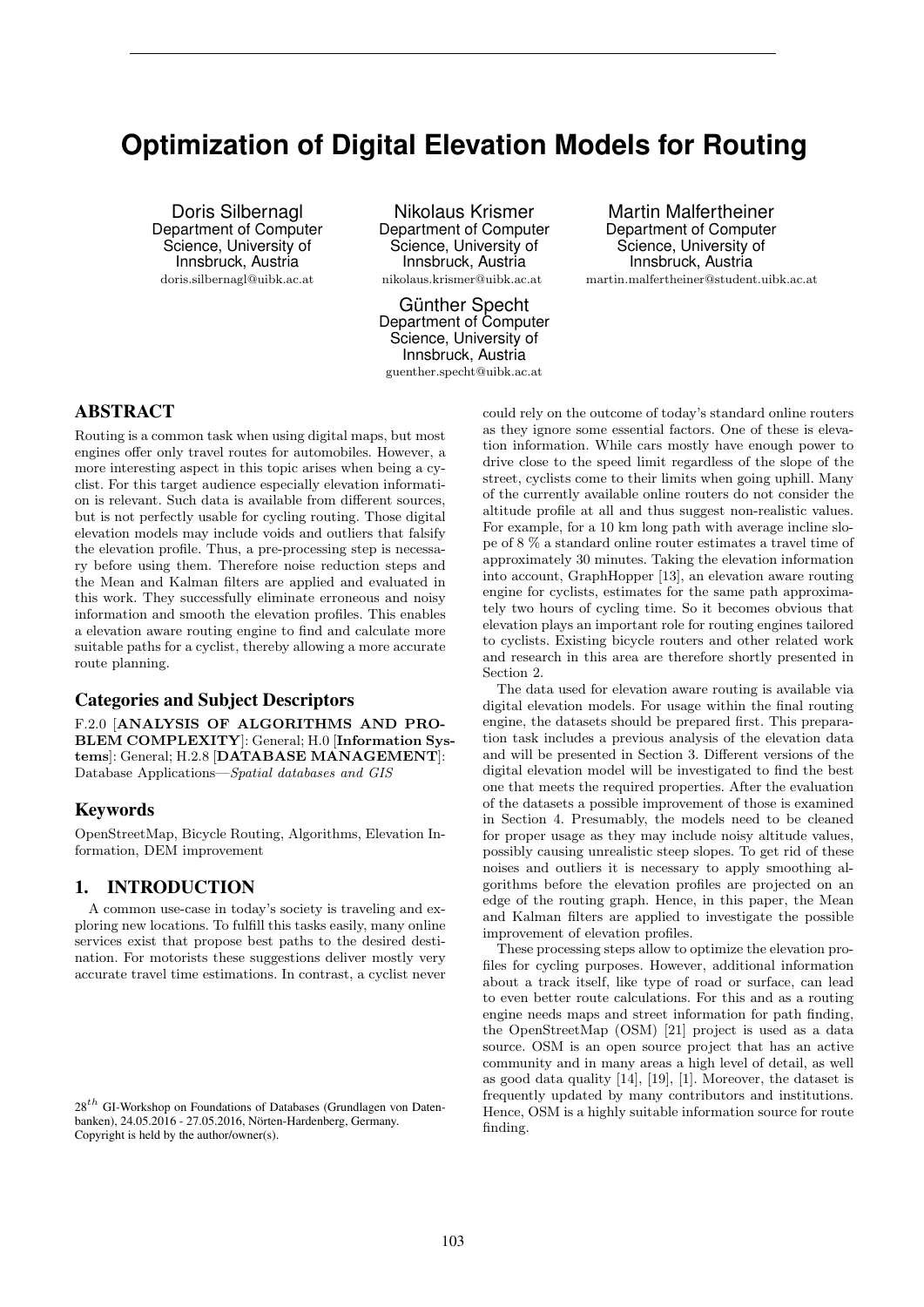# **Optimization of Digital Elevation Models for Routing**

Doris Silbernagl Department of Computer Science, University of Innsbruck, Austria doris.silbernagl@uibk.ac.at

Nikolaus Krismer Department of Computer Science, University of Innsbruck, Austria nikolaus.krismer@uibk.ac.at

Günther Specht Department of Computer Science, University of Innsbruck, Austria

guenther.specht@uibk.ac.at

Martin Malfertheiner Department of Computer Science, University of Innsbruck, Austria martin.malfertheiner@student.uibk.ac.at

# ABSTRACT

Routing is a common task when using digital maps, but most engines offer only travel routes for automobiles. However, a more interesting aspect in this topic arises when being a cyclist. For this target audience especially elevation information is relevant. Such data is available from different sources, but is not perfectly usable for cycling routing. Those digital elevation models may include voids and outliers that falsify the elevation profile. Thus, a pre-processing step is necessary before using them. Therefore noise reduction steps and the Mean and Kalman filters are applied and evaluated in this work. They successfully eliminate erroneous and noisy information and smooth the elevation profiles. This enables a elevation aware routing engine to find and calculate more suitable paths for a cyclist, thereby allowing a more accurate route planning.

#### Categories and Subject Descriptors

F.2.0 [ANALYSIS OF ALGORITHMS AND PRO-BLEM COMPLEXITY]: General; H.0 [Information Systems]: General; H.2.8 [DATABASE MANAGEMENT]: Database Applications—Spatial databases and GIS

# Keywords

OpenStreetMap, Bicycle Routing, Algorithms, Elevation Information, DEM improvement

## 1. INTRODUCTION

A common use-case in today's society is traveling and exploring new locations. To fulfill this tasks easily, many online services exist that propose best paths to the desired destination. For motorists these suggestions deliver mostly very accurate travel time estimations. In contrast, a cyclist never

could rely on the outcome of today's standard online routers as they ignore some essential factors. One of these is elevation information. While cars mostly have enough power to drive close to the speed limit regardless of the slope of the street, cyclists come to their limits when going uphill. Many of the currently available online routers do not consider the altitude profile at all and thus suggest non-realistic values. For example, for a 10 km long path with average incline slope of 8 % a standard online router estimates a travel time of approximately 30 minutes. Taking the elevation information into account, GraphHopper [13], an elevation aware routing engine for cyclists, estimates for the same path approximately two hours of cycling time. So it becomes obvious that elevation plays an important role for routing engines tailored to cyclists. Existing bicycle routers and other related work and research in this area are therefore shortly presented in Section 2.

The data used for elevation aware routing is available via digital elevation models. For usage within the final routing engine, the datasets should be prepared first. This preparation task includes a previous analysis of the elevation data and will be presented in Section 3. Different versions of the digital elevation model will be investigated to find the best one that meets the required properties. After the evaluation of the datasets a possible improvement of those is examined in Section 4. Presumably, the models need to be cleaned for proper usage as they may include noisy altitude values, possibly causing unrealistic steep slopes. To get rid of these noises and outliers it is necessary to apply smoothing algorithms before the elevation profiles are projected on an edge of the routing graph. Hence, in this paper, the Mean and Kalman filters are applied to investigate the possible improvement of elevation profiles.

These processing steps allow to optimize the elevation profiles for cycling purposes. However, additional information about a track itself, like type of road or surface, can lead to even better route calculations. For this and as a routing engine needs maps and street information for path finding, the OpenStreetMap (OSM) [21] project is used as a data source. OSM is an open source project that has an active community and in many areas a high level of detail, as well as good data quality [14], [19], [1]. Moreover, the dataset is frequently updated by many contributors and institutions. Hence, OSM is a highly suitable information source for route finding.

 $28<sup>th</sup>$  GI-Workshop on Foundations of Databases (Grundlagen von Datenbanken), 24.05.2016 - 27.05.2016, Nörten-Hardenberg, Germany. Copyright is held by the author/owner(s).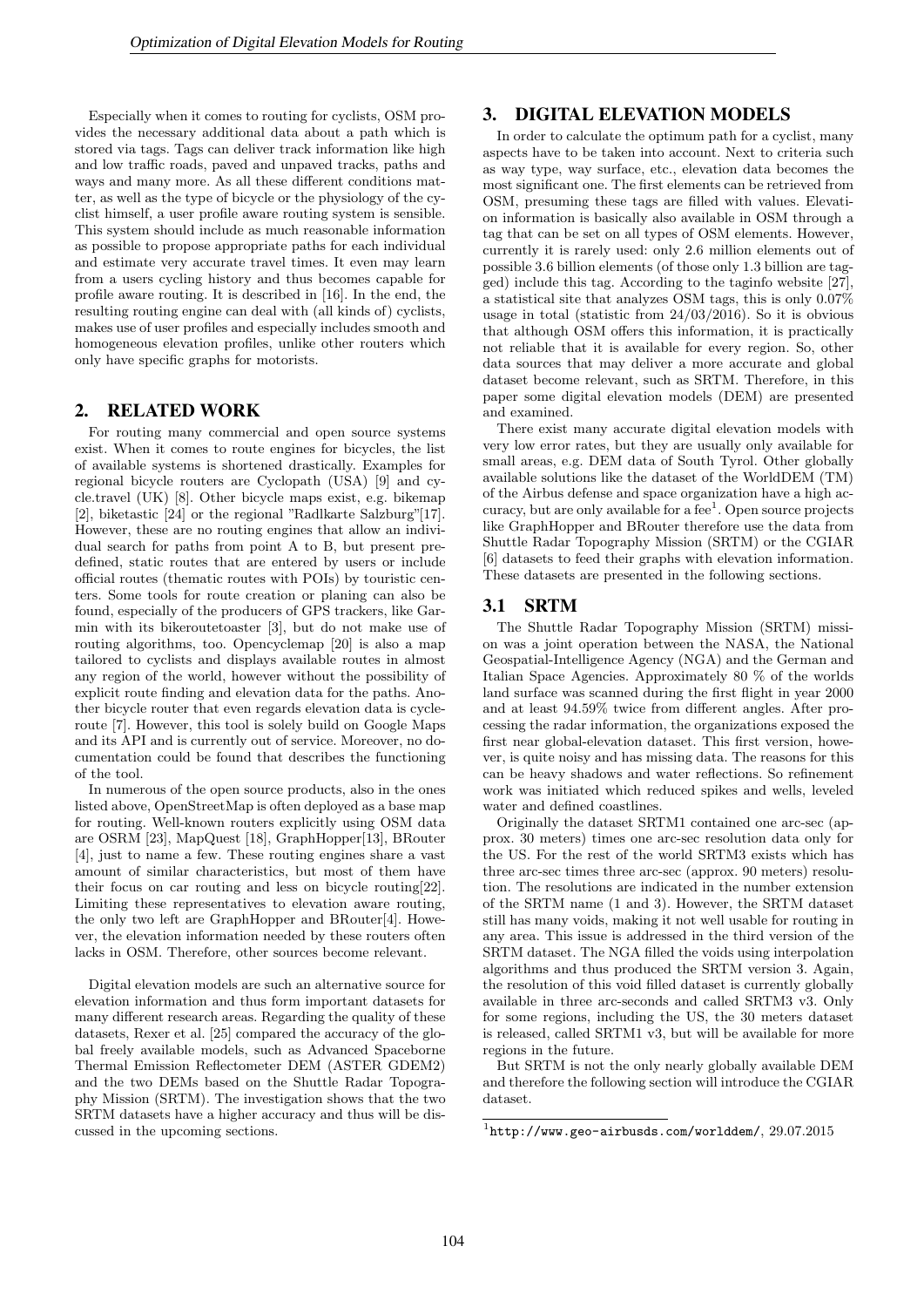Especially when it comes to routing for cyclists, OSM provides the necessary additional data about a path which is stored via tags. Tags can deliver track information like high and low traffic roads, paved and unpaved tracks, paths and ways and many more. As all these different conditions matter, as well as the type of bicycle or the physiology of the cyclist himself, a user profile aware routing system is sensible. This system should include as much reasonable information as possible to propose appropriate paths for each individual and estimate very accurate travel times. It even may learn from a users cycling history and thus becomes capable for profile aware routing. It is described in [16]. In the end, the resulting routing engine can deal with (all kinds of) cyclists, makes use of user profiles and especially includes smooth and homogeneous elevation profiles, unlike other routers which only have specific graphs for motorists.

# 2. RELATED WORK

For routing many commercial and open source systems exist. When it comes to route engines for bicycles, the list of available systems is shortened drastically. Examples for regional bicycle routers are Cyclopath (USA) [9] and cycle.travel (UK) [8]. Other bicycle maps exist, e.g. bikemap [2], biketastic [24] or the regional "Radlkarte Salzburg"[17]. However, these are no routing engines that allow an individual search for paths from point A to B, but present predefined, static routes that are entered by users or include official routes (thematic routes with POIs) by touristic centers. Some tools for route creation or planing can also be found, especially of the producers of GPS trackers, like Garmin with its bikeroutetoaster [3], but do not make use of routing algorithms, too. Opencyclemap [20] is also a map tailored to cyclists and displays available routes in almost any region of the world, however without the possibility of explicit route finding and elevation data for the paths. Another bicycle router that even regards elevation data is cycleroute [7]. However, this tool is solely build on Google Maps and its API and is currently out of service. Moreover, no documentation could be found that describes the functioning of the tool.

In numerous of the open source products, also in the ones listed above, OpenStreetMap is often deployed as a base map for routing. Well-known routers explicitly using OSM data are OSRM [23], MapQuest [18], GraphHopper[13], BRouter [4], just to name a few. These routing engines share a vast amount of similar characteristics, but most of them have their focus on car routing and less on bicycle routing[22]. Limiting these representatives to elevation aware routing, the only two left are GraphHopper and BRouter[4]. However, the elevation information needed by these routers often lacks in OSM. Therefore, other sources become relevant.

Digital elevation models are such an alternative source for elevation information and thus form important datasets for many different research areas. Regarding the quality of these datasets, Rexer et al. [25] compared the accuracy of the global freely available models, such as Advanced Spaceborne Thermal Emission Reflectometer DEM (ASTER GDEM2) and the two DEMs based on the Shuttle Radar Topography Mission (SRTM). The investigation shows that the two SRTM datasets have a higher accuracy and thus will be discussed in the upcoming sections.

# 3. DIGITAL ELEVATION MODELS

In order to calculate the optimum path for a cyclist, many aspects have to be taken into account. Next to criteria such as way type, way surface, etc., elevation data becomes the most significant one. The first elements can be retrieved from OSM, presuming these tags are filled with values. Elevation information is basically also available in OSM through a tag that can be set on all types of OSM elements. However, currently it is rarely used: only 2.6 million elements out of possible 3.6 billion elements (of those only 1.3 billion are tagged) include this tag. According to the taginfo website [27], a statistical site that analyzes OSM tags, this is only 0.07% usage in total (statistic from 24/03/2016). So it is obvious that although OSM offers this information, it is practically not reliable that it is available for every region. So, other data sources that may deliver a more accurate and global dataset become relevant, such as SRTM. Therefore, in this paper some digital elevation models (DEM) are presented and examined.

There exist many accurate digital elevation models with very low error rates, but they are usually only available for small areas, e.g. DEM data of South Tyrol. Other globally available solutions like the dataset of the WorldDEM (TM) of the Airbus defense and space organization have a high accuracy, but are only available for a fee<sup>1</sup>. Open source projects like GraphHopper and BRouter therefore use the data from Shuttle Radar Topography Mission (SRTM) or the CGIAR [6] datasets to feed their graphs with elevation information. These datasets are presented in the following sections.

#### 3.1 SRTM

The Shuttle Radar Topography Mission (SRTM) mission was a joint operation between the NASA, the National Geospatial-Intelligence Agency (NGA) and the German and Italian Space Agencies. Approximately 80 % of the worlds land surface was scanned during the first flight in year 2000 and at least 94.59% twice from different angles. After processing the radar information, the organizations exposed the first near global-elevation dataset. This first version, however, is quite noisy and has missing data. The reasons for this can be heavy shadows and water reflections. So refinement work was initiated which reduced spikes and wells, leveled water and defined coastlines.

Originally the dataset SRTM1 contained one arc-sec (approx. 30 meters) times one arc-sec resolution data only for the US. For the rest of the world SRTM3 exists which has three arc-sec times three arc-sec (approx. 90 meters) resolution. The resolutions are indicated in the number extension of the SRTM name (1 and 3). However, the SRTM dataset still has many voids, making it not well usable for routing in any area. This issue is addressed in the third version of the SRTM dataset. The NGA filled the voids using interpolation algorithms and thus produced the SRTM version 3. Again, the resolution of this void filled dataset is currently globally available in three arc-seconds and called SRTM3 v3. Only for some regions, including the US, the 30 meters dataset is released, called SRTM1 v3, but will be available for more regions in the future.

But SRTM is not the only nearly globally available DEM and therefore the following section will introduce the CGIAR dataset.

 $1$ http://www.geo-airbusds.com/worlddem/,  $29.07.2015$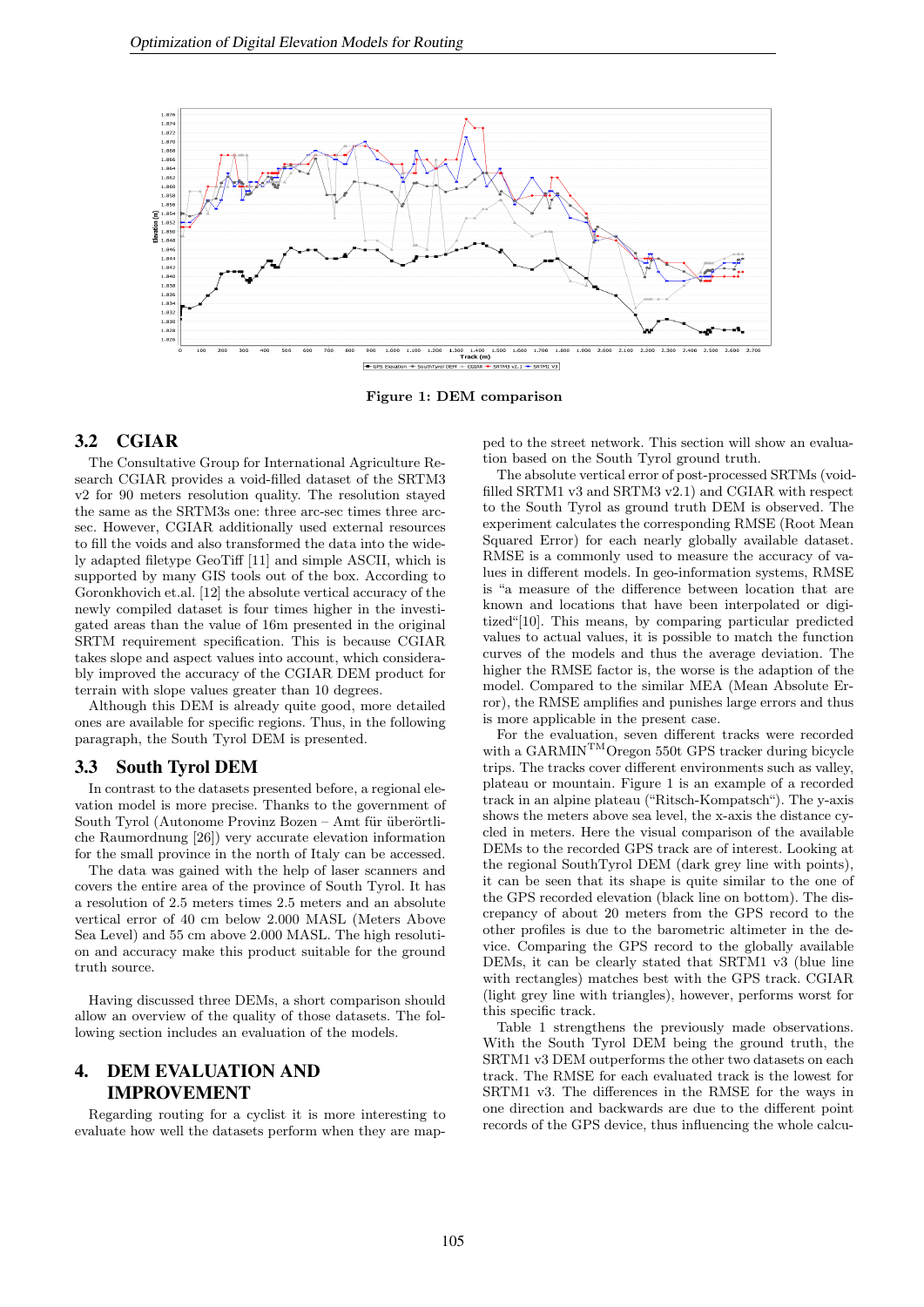

Figure 1: DEM comparison

#### 3.2 CGIAR

The Consultative Group for International Agriculture Research CGIAR provides a void-filled dataset of the SRTM3 v2 for 90 meters resolution quality. The resolution stayed the same as the SRTM3s one: three arc-sec times three arcsec. However, CGIAR additionally used external resources to fill the voids and also transformed the data into the widely adapted filetype GeoTiff [11] and simple ASCII, which is supported by many GIS tools out of the box. According to Goronkhovich et.al. [12] the absolute vertical accuracy of the newly compiled dataset is four times higher in the investigated areas than the value of 16m presented in the original SRTM requirement specification. This is because CGIAR takes slope and aspect values into account, which considerably improved the accuracy of the CGIAR DEM product for terrain with slope values greater than 10 degrees.

Although this DEM is already quite good, more detailed ones are available for specific regions. Thus, in the following paragraph, the South Tyrol DEM is presented.

#### 3.3 South Tyrol DEM

In contrast to the datasets presented before, a regional elevation model is more precise. Thanks to the government of South Tyrol (Autonome Provinz Bozen – Amt für überörtliche Raumordnung [26]) very accurate elevation information for the small province in the north of Italy can be accessed.

The data was gained with the help of laser scanners and covers the entire area of the province of South Tyrol. It has a resolution of 2.5 meters times 2.5 meters and an absolute vertical error of 40 cm below 2.000 MASL (Meters Above Sea Level) and 55 cm above 2.000 MASL. The high resolution and accuracy make this product suitable for the ground truth source.

Having discussed three DEMs, a short comparison should allow an overview of the quality of those datasets. The following section includes an evaluation of the models.

# 4. DEM EVALUATION AND IMPROVEMENT

Regarding routing for a cyclist it is more interesting to evaluate how well the datasets perform when they are mapped to the street network. This section will show an evaluation based on the South Tyrol ground truth.

The absolute vertical error of post-processed SRTMs (voidfilled SRTM1 v3 and SRTM3 v2.1) and CGIAR with respect to the South Tyrol as ground truth DEM is observed. The experiment calculates the corresponding RMSE (Root Mean Squared Error) for each nearly globally available dataset. RMSE is a commonly used to measure the accuracy of values in different models. In geo-information systems, RMSE is "a measure of the difference between location that are known and locations that have been interpolated or digitized"[10]. This means, by comparing particular predicted values to actual values, it is possible to match the function curves of the models and thus the average deviation. The higher the RMSE factor is, the worse is the adaption of the model. Compared to the similar MEA (Mean Absolute Error), the RMSE amplifies and punishes large errors and thus is more applicable in the present case.

For the evaluation, seven different tracks were recorded with a GARMIN<sup>TM</sup>Oregon 550t GPS tracker during bicycle trips. The tracks cover different environments such as valley, plateau or mountain. Figure 1 is an example of a recorded track in an alpine plateau ("Ritsch-Kompatsch"). The y-axis shows the meters above sea level, the x-axis the distance cycled in meters. Here the visual comparison of the available DEMs to the recorded GPS track are of interest. Looking at the regional SouthTyrol DEM (dark grey line with points), it can be seen that its shape is quite similar to the one of the GPS recorded elevation (black line on bottom). The discrepancy of about 20 meters from the GPS record to the other profiles is due to the barometric altimeter in the device. Comparing the GPS record to the globally available DEMs, it can be clearly stated that SRTM1 v3 (blue line with rectangles) matches best with the GPS track. CGIAR (light grey line with triangles), however, performs worst for this specific track.

Table 1 strengthens the previously made observations. With the South Tyrol DEM being the ground truth, the SRTM1 v3 DEM outperforms the other two datasets on each track. The RMSE for each evaluated track is the lowest for SRTM1 v3. The differences in the RMSE for the ways in one direction and backwards are due to the different point records of the GPS device, thus influencing the whole calcu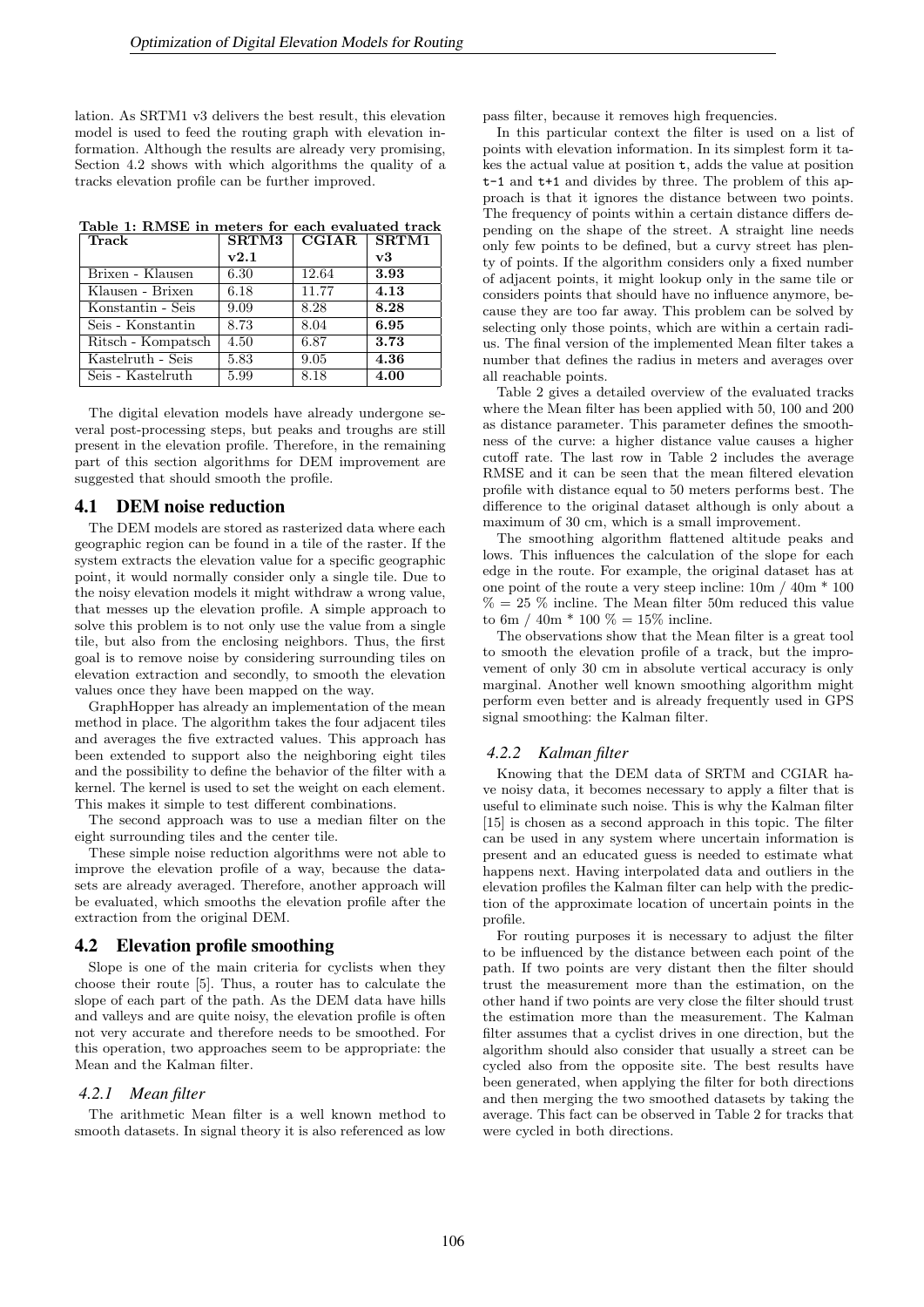lation. As SRTM1 v3 delivers the best result, this elevation model is used to feed the routing graph with elevation information. Although the results are already very promising, Section 4.2 shows with which algorithms the quality of a tracks elevation profile can be further improved.

Table 1: RMSE in meters for each evaluated track

| Track              | <b>SRTM3</b> | CGIAR | <b>SRTM1</b> |
|--------------------|--------------|-------|--------------|
|                    | v2.1         |       | v3           |
| Brixen - Klausen   | 6.30         | 12.64 | 3.93         |
| Klausen - Brixen   | 6.18         | 11.77 | 4.13         |
| Konstantin - Seis  | 9.09         | 8.28  | 8.28         |
| Seis - Konstantin  | 8.73         | 8.04  | 6.95         |
| Ritsch - Kompatsch | 4.50         | 6.87  | 3.73         |
| Kastelruth - Seis  | 5.83         | 9.05  | 4.36         |
| Seis - Kastelruth  | 5.99         | 8.18  | 4.00         |

The digital elevation models have already undergone several post-processing steps, but peaks and troughs are still present in the elevation profile. Therefore, in the remaining part of this section algorithms for DEM improvement are suggested that should smooth the profile.

### 4.1 DEM noise reduction

The DEM models are stored as rasterized data where each geographic region can be found in a tile of the raster. If the system extracts the elevation value for a specific geographic point, it would normally consider only a single tile. Due to the noisy elevation models it might withdraw a wrong value, that messes up the elevation profile. A simple approach to solve this problem is to not only use the value from a single tile, but also from the enclosing neighbors. Thus, the first goal is to remove noise by considering surrounding tiles on elevation extraction and secondly, to smooth the elevation values once they have been mapped on the way.

GraphHopper has already an implementation of the mean method in place. The algorithm takes the four adjacent tiles and averages the five extracted values. This approach has been extended to support also the neighboring eight tiles and the possibility to define the behavior of the filter with a kernel. The kernel is used to set the weight on each element. This makes it simple to test different combinations.

The second approach was to use a median filter on the eight surrounding tiles and the center tile.

These simple noise reduction algorithms were not able to improve the elevation profile of a way, because the datasets are already averaged. Therefore, another approach will be evaluated, which smooths the elevation profile after the extraction from the original DEM.

#### 4.2 Elevation profile smoothing

Slope is one of the main criteria for cyclists when they choose their route [5]. Thus, a router has to calculate the slope of each part of the path. As the DEM data have hills and valleys and are quite noisy, the elevation profile is often not very accurate and therefore needs to be smoothed. For this operation, two approaches seem to be appropriate: the Mean and the Kalman filter.

#### *4.2.1 Mean filter*

The arithmetic Mean filter is a well known method to smooth datasets. In signal theory it is also referenced as low

pass filter, because it removes high frequencies.

In this particular context the filter is used on a list of points with elevation information. In its simplest form it takes the actual value at position t, adds the value at position t-1 and t+1 and divides by three. The problem of this approach is that it ignores the distance between two points. The frequency of points within a certain distance differs depending on the shape of the street. A straight line needs only few points to be defined, but a curvy street has plenty of points. If the algorithm considers only a fixed number of adjacent points, it might lookup only in the same tile or considers points that should have no influence anymore, because they are too far away. This problem can be solved by selecting only those points, which are within a certain radius. The final version of the implemented Mean filter takes a number that defines the radius in meters and averages over all reachable points.

Table 2 gives a detailed overview of the evaluated tracks where the Mean filter has been applied with 50, 100 and 200 as distance parameter. This parameter defines the smoothness of the curve: a higher distance value causes a higher cutoff rate. The last row in Table 2 includes the average RMSE and it can be seen that the mean filtered elevation profile with distance equal to 50 meters performs best. The difference to the original dataset although is only about a maximum of 30 cm, which is a small improvement.

The smoothing algorithm flattened altitude peaks and lows. This influences the calculation of the slope for each edge in the route. For example, the original dataset has at one point of the route a very steep incline: 10m / 40m \* 100  $\% = 25 \%$  incline. The Mean filter 50m reduced this value to 6m / 40m  $*$  100  $\% = 15\%$  incline.

The observations show that the Mean filter is a great tool to smooth the elevation profile of a track, but the improvement of only 30 cm in absolute vertical accuracy is only marginal. Another well known smoothing algorithm might perform even better and is already frequently used in GPS signal smoothing: the Kalman filter.

#### *4.2.2 Kalman filter*

Knowing that the DEM data of SRTM and CGIAR have noisy data, it becomes necessary to apply a filter that is useful to eliminate such noise. This is why the Kalman filter [15] is chosen as a second approach in this topic. The filter can be used in any system where uncertain information is present and an educated guess is needed to estimate what happens next. Having interpolated data and outliers in the elevation profiles the Kalman filter can help with the prediction of the approximate location of uncertain points in the profile.

For routing purposes it is necessary to adjust the filter to be influenced by the distance between each point of the path. If two points are very distant then the filter should trust the measurement more than the estimation, on the other hand if two points are very close the filter should trust the estimation more than the measurement. The Kalman filter assumes that a cyclist drives in one direction, but the algorithm should also consider that usually a street can be cycled also from the opposite site. The best results have been generated, when applying the filter for both directions and then merging the two smoothed datasets by taking the average. This fact can be observed in Table 2 for tracks that were cycled in both directions.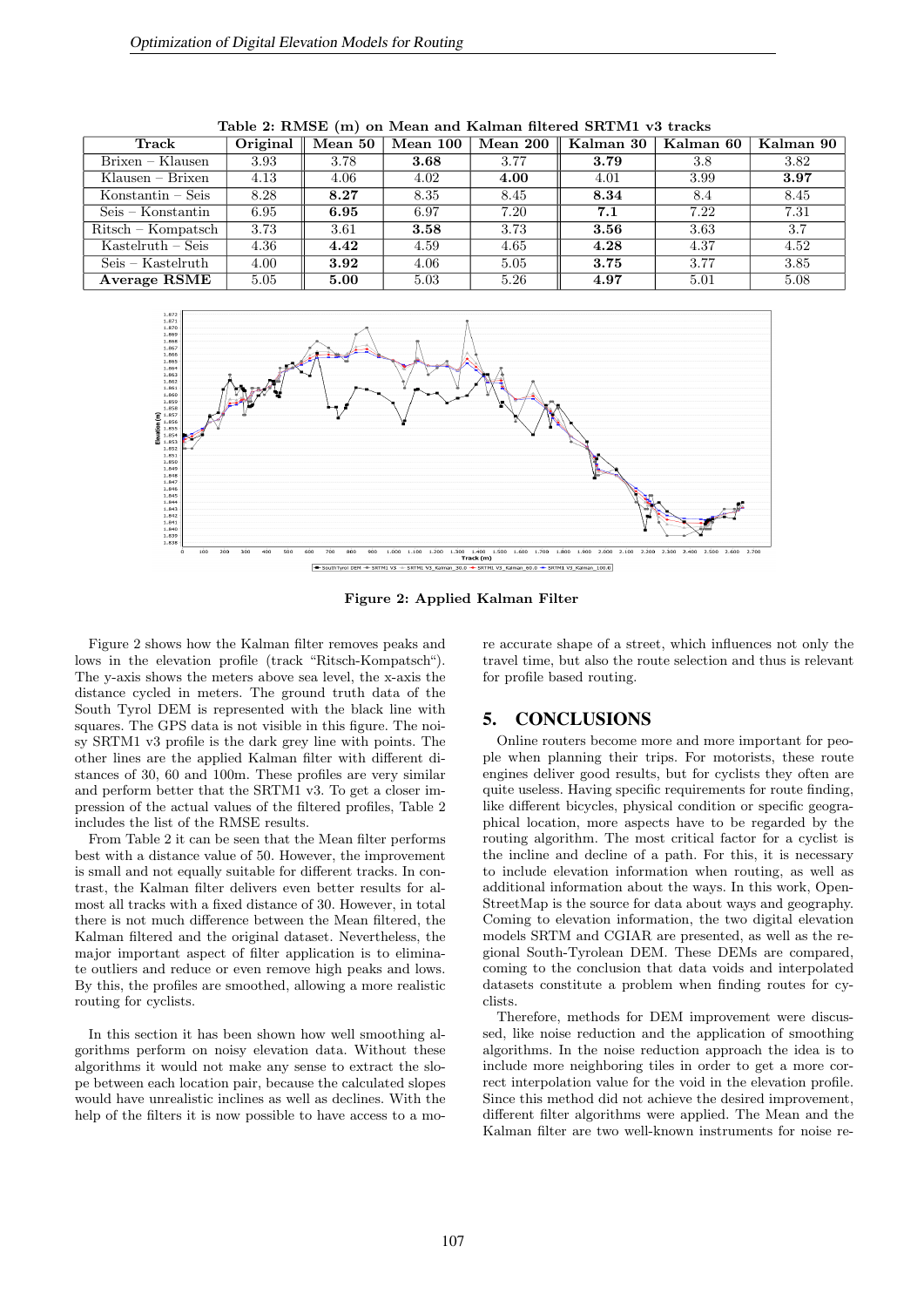| Track                | Original $\parallel$ | Mean 50 | Mean 100 | Mean 200 | Kalman 30 | Kalman 60 | Kalman 90 |
|----------------------|----------------------|---------|----------|----------|-----------|-----------|-----------|
| Brixen – Klausen     | 3.93                 | 3.78    | 3.68     | 3.77     | 3.79      | 3.8       | 3.82      |
| $K$ lausen – Brixen  | 4.13                 | 4.06    | 4.02     | 4.00     | 4.01      | 3.99      | 3.97      |
| $K$ onstantin – Seis | 8.28                 | 8.27    | 8.35     | 8.45     | 8.34      | 8.4       | 8.45      |
| $Seis-Konstantin$    | 6.95                 | 6.95    | 6.97     | 7.20     | 7.1       | 7.22      | 7.31      |
| $Ritsch - Kompatsch$ | 3.73                 | 3.61    | 3.58     | 3.73     | 3.56      | 3.63      | 3.7       |
| $Kastelruth - Seis$  | 4.36                 | 4.42    | 4.59     | 4.65     | 4.28      | 4.37      | 4.52      |
| $Seis-Kastelruth$    | 4.00                 | 3.92    | 4.06     | 5.05     | 3.75      | 3.77      | 3.85      |
| Average RSME         | 5.05                 | 5.00    | 5.03     | 5.26     | 4.97      | 5.01      | 5.08      |

Table 2: RMSE (m) on Mean and Kalman filtered SRTM1 v3 tracks



Figure 2: Applied Kalman Filter

Figure 2 shows how the Kalman filter removes peaks and lows in the elevation profile (track "Ritsch-Kompatsch"). The y-axis shows the meters above sea level, the x-axis the distance cycled in meters. The ground truth data of the South Tyrol DEM is represented with the black line with squares. The GPS data is not visible in this figure. The noisy SRTM1 v3 profile is the dark grey line with points. The other lines are the applied Kalman filter with different distances of 30, 60 and 100m. These profiles are very similar and perform better that the SRTM1 v3. To get a closer impression of the actual values of the filtered profiles, Table 2 includes the list of the RMSE results.

From Table 2 it can be seen that the Mean filter performs best with a distance value of 50. However, the improvement is small and not equally suitable for different tracks. In contrast, the Kalman filter delivers even better results for almost all tracks with a fixed distance of 30. However, in total there is not much difference between the Mean filtered, the Kalman filtered and the original dataset. Nevertheless, the major important aspect of filter application is to eliminate outliers and reduce or even remove high peaks and lows. By this, the profiles are smoothed, allowing a more realistic routing for cyclists.

In this section it has been shown how well smoothing algorithms perform on noisy elevation data. Without these algorithms it would not make any sense to extract the slope between each location pair, because the calculated slopes would have unrealistic inclines as well as declines. With the help of the filters it is now possible to have access to a more accurate shape of a street, which influences not only the travel time, but also the route selection and thus is relevant for profile based routing.

# 5. CONCLUSIONS

Online routers become more and more important for people when planning their trips. For motorists, these route engines deliver good results, but for cyclists they often are quite useless. Having specific requirements for route finding, like different bicycles, physical condition or specific geographical location, more aspects have to be regarded by the routing algorithm. The most critical factor for a cyclist is the incline and decline of a path. For this, it is necessary to include elevation information when routing, as well as additional information about the ways. In this work, Open-StreetMap is the source for data about ways and geography. Coming to elevation information, the two digital elevation models SRTM and CGIAR are presented, as well as the regional South-Tyrolean DEM. These DEMs are compared, coming to the conclusion that data voids and interpolated datasets constitute a problem when finding routes for cyclists.

Therefore, methods for DEM improvement were discussed, like noise reduction and the application of smoothing algorithms. In the noise reduction approach the idea is to include more neighboring tiles in order to get a more correct interpolation value for the void in the elevation profile. Since this method did not achieve the desired improvement, different filter algorithms were applied. The Mean and the Kalman filter are two well-known instruments for noise re